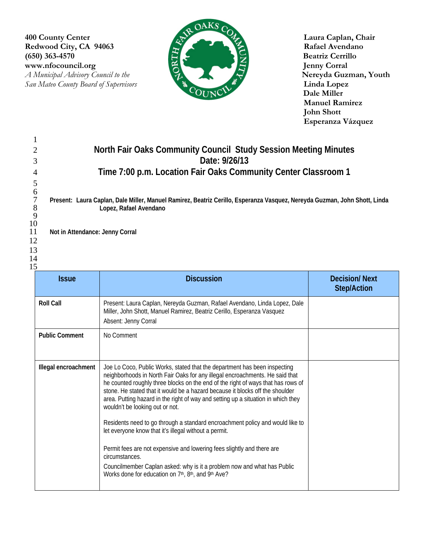Redwood City, CA 94063<br>
(650) 363-4570<br>
www.nfocouncil.org<br> *A Municipal Advisory Council to the* (650) 363-4570 **Beatriz Cerrillo**<br>www.nfocouncil.org **Exercise Section Beatriz Cerrillo** WWW.nfocouncil.org Jenny Corral Jenny Corral Jenny Corral Jenny Corral Jenny Corral News, Nouth *A Municipal Advisory Council to the* **Nereyda Guzman, Nereyda Guzman, Nereyda Guzman, Nereyda Guzman, Nereyda Guzman, Nereyda Guzman, Nereyda Guzman, Nereyda Guzman, Nereyda Guzman, Nereyda Guzman, Nereyda Guzman, Nereyda San Mateo County Board of Supervisors** 



 **Dale Miller Manuel Ramirez John Shott Esperanza Vázquez**

|          | $\mathbf{1}$                                                   |                                                                                                                                                                    |                      |  |  |  |
|----------|----------------------------------------------------------------|--------------------------------------------------------------------------------------------------------------------------------------------------------------------|----------------------|--|--|--|
|          | 2                                                              | North Fair Oaks Community Council Study Session Meeting Minutes                                                                                                    |                      |  |  |  |
|          | 3                                                              | Date: 9/26/13                                                                                                                                                      |                      |  |  |  |
| 4        | Time 7:00 p.m. Location Fair Oaks Community Center Classroom 1 |                                                                                                                                                                    |                      |  |  |  |
|          | 5                                                              |                                                                                                                                                                    |                      |  |  |  |
|          | 6<br>$\boldsymbol{7}$                                          |                                                                                                                                                                    |                      |  |  |  |
|          | 8                                                              | Present: Laura Caplan, Dale Miller, Manuel Ramirez, Beatriz Cerillo, Esperanza Vasquez, Nereyda Guzman, John Shott, Linda<br>Lopez, Rafael Avendano                |                      |  |  |  |
| 10       | 9                                                              |                                                                                                                                                                    |                      |  |  |  |
| 11       | Not in Attendance: Jenny Corral                                |                                                                                                                                                                    |                      |  |  |  |
| 12       |                                                                |                                                                                                                                                                    |                      |  |  |  |
| 13<br>14 |                                                                |                                                                                                                                                                    |                      |  |  |  |
| 15       |                                                                |                                                                                                                                                                    |                      |  |  |  |
|          | <b>Issue</b>                                                   | <b>Discussion</b>                                                                                                                                                  | <b>Decision/Next</b> |  |  |  |
|          |                                                                |                                                                                                                                                                    | <b>Step/Action</b>   |  |  |  |
|          | <b>Roll Call</b>                                               | Present: Laura Caplan, Nereyda Guzman, Rafael Avendano, Linda Lopez, Dale                                                                                          |                      |  |  |  |
|          |                                                                | Miller, John Shott, Manuel Ramirez, Beatriz Cerillo, Esperanza Vasquez                                                                                             |                      |  |  |  |
|          |                                                                | Absent: Jenny Corral                                                                                                                                               |                      |  |  |  |
|          | <b>Public Comment</b>                                          | No Comment                                                                                                                                                         |                      |  |  |  |
|          |                                                                |                                                                                                                                                                    |                      |  |  |  |
|          |                                                                |                                                                                                                                                                    |                      |  |  |  |
|          | Illegal encroachment                                           | Joe Lo Coco, Public Works, stated that the department has been inspecting<br>neighborhoods in North Fair Oaks for any illegal encroachments. He said that          |                      |  |  |  |
|          |                                                                | he counted roughly three blocks on the end of the right of ways that has rows of                                                                                   |                      |  |  |  |
|          |                                                                | stone. He stated that it would be a hazard because it blocks off the shoulder<br>area. Putting hazard in the right of way and setting up a situation in which they |                      |  |  |  |
|          |                                                                | wouldn't be looking out or not.                                                                                                                                    |                      |  |  |  |
|          |                                                                | Residents need to go through a standard encroachment policy and would like to                                                                                      |                      |  |  |  |
|          |                                                                | let everyone know that it's illegal without a permit.                                                                                                              |                      |  |  |  |
|          |                                                                |                                                                                                                                                                    |                      |  |  |  |
|          |                                                                | Permit fees are not expensive and lowering fees slightly and there are<br>circumstances.                                                                           |                      |  |  |  |
|          |                                                                | Councilmember Caplan asked: why is it a problem now and what has Public                                                                                            |                      |  |  |  |
|          |                                                                | Works done for education on 7th, 8th, and 9th Ave?                                                                                                                 |                      |  |  |  |
|          |                                                                |                                                                                                                                                                    |                      |  |  |  |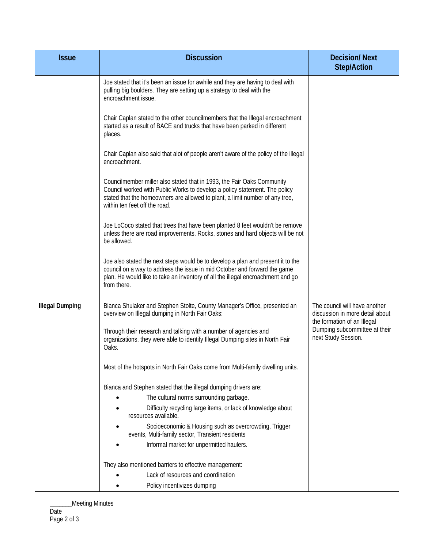| <b>Issue</b>           | <b>Discussion</b>                                                                                                                                                                                                                                                     | <b>Decision/Next</b><br><b>Step/Action</b>                                                                                                              |
|------------------------|-----------------------------------------------------------------------------------------------------------------------------------------------------------------------------------------------------------------------------------------------------------------------|---------------------------------------------------------------------------------------------------------------------------------------------------------|
|                        | Joe stated that it's been an issue for awhile and they are having to deal with<br>pulling big boulders. They are setting up a strategy to deal with the<br>encroachment issue.                                                                                        |                                                                                                                                                         |
|                        | Chair Caplan stated to the other councilmembers that the Illegal encroachment<br>started as a result of BACE and trucks that have been parked in different<br>places.                                                                                                 |                                                                                                                                                         |
|                        | Chair Caplan also said that alot of people aren't aware of the policy of the illegal<br>encroachment.                                                                                                                                                                 |                                                                                                                                                         |
|                        | Councilmember miller also stated that in 1993, the Fair Oaks Community<br>Council worked with Public Works to develop a policy statement. The policy<br>stated that the homeowners are allowed to plant, a limit number of any tree,<br>within ten feet off the road. |                                                                                                                                                         |
|                        | Joe LoCoco stated that trees that have been planted 8 feet wouldn't be remove<br>unless there are road improvements. Rocks, stones and hard objects will be not<br>be allowed.                                                                                        |                                                                                                                                                         |
|                        | Joe also stated the next steps would be to develop a plan and present it to the<br>council on a way to address the issue in mid October and forward the game<br>plan. He would like to take an inventory of all the illegal encroachment and go<br>from there.        |                                                                                                                                                         |
| <b>Illegal Dumping</b> | Bianca Shulaker and Stephen Stolte, County Manager's Office, presented an<br>overview on Illegal dumping in North Fair Oaks:                                                                                                                                          | The council will have another<br>discussion in more detail about<br>the formation of an Illegal<br>Dumping subcommittee at their<br>next Study Session. |
|                        | Through their research and talking with a number of agencies and<br>organizations, they were able to identify Illegal Dumping sites in North Fair<br>Oaks.                                                                                                            |                                                                                                                                                         |
|                        | Most of the hotspots in North Fair Oaks come from Multi-family dwelling units.                                                                                                                                                                                        |                                                                                                                                                         |
|                        | Bianca and Stephen stated that the illegal dumping drivers are:                                                                                                                                                                                                       |                                                                                                                                                         |
|                        | The cultural norms surrounding garbage.                                                                                                                                                                                                                               |                                                                                                                                                         |
|                        | Difficulty recycling large items, or lack of knowledge about<br>resources available.                                                                                                                                                                                  |                                                                                                                                                         |
|                        | Socioeconomic & Housing such as overcrowding, Trigger<br>events, Multi-family sector, Transient residents                                                                                                                                                             |                                                                                                                                                         |
|                        | Informal market for unpermitted haulers.                                                                                                                                                                                                                              |                                                                                                                                                         |
|                        | They also mentioned barriers to effective management:                                                                                                                                                                                                                 |                                                                                                                                                         |
|                        | Lack of resources and coordination                                                                                                                                                                                                                                    |                                                                                                                                                         |
|                        | Policy incentivizes dumping                                                                                                                                                                                                                                           |                                                                                                                                                         |